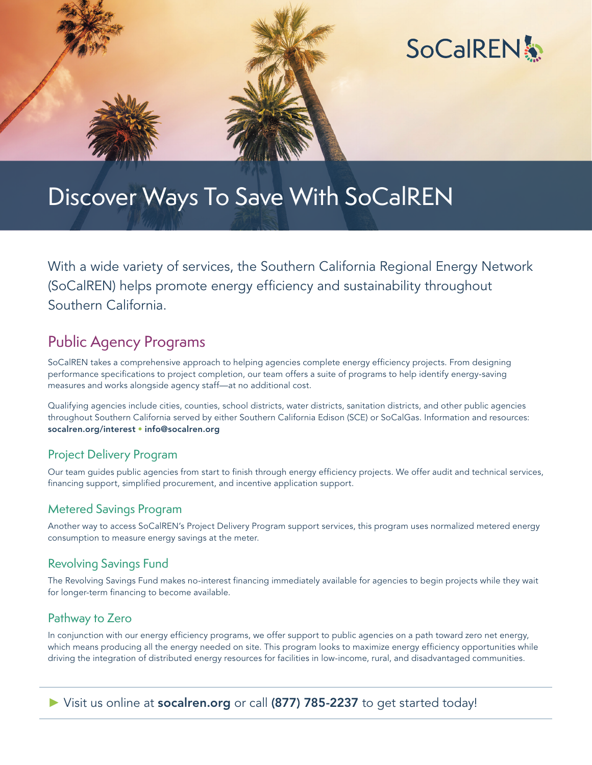



# Discover Ways To Save With SoCalREN

With a wide variety of services, the Southern California Regional Energy Network (SoCalREN) helps promote energy efficiency and sustainability throughout Southern California.

### Public Agency Programs

SoCalREN takes a comprehensive approach to helping agencies complete energy efficiency projects. From designing performance specifications to project completion, our team offers a suite of programs to help identify energy-saving measures and works alongside agency staff—at no additional cost.

Qualifying agencies include cities, counties, school districts, water districts, sanitation districts, and other public agencies throughout Southern California served by either Southern California Edison (SCE) or SoCalGas. Information and resources: [socalren.org/interest](http://socalren.org/interest) • [info@socalren.org](mailto:info%40socalren.org?subject=)

#### Project Delivery Program

Our team guides public agencies from start to finish through energy efficiency projects. We offer audit and technical services, financing support, simplified procurement, and incentive application support.

#### Metered Savings Program

Another way to access SoCalREN's Project Delivery Program support services, this program uses normalized metered energy consumption to measure energy savings at the meter.

#### Revolving Savings Fund

The Revolving Savings Fund makes no-interest financing immediately available for agencies to begin projects while they wait for longer-term financing to become available.

#### Pathway to Zero

In conjunction with our energy efficiency programs, we offer support to public agencies on a path toward zero net energy, which means producing all the energy needed on site. This program looks to maximize energy efficiency opportunities while driving the integration of distributed energy resources for facilities in low-income, rural, and disadvantaged communities.

#### ► Visit us online at [socalren.org](http://socalren.org) or call (877) 785-2237 to get started today!